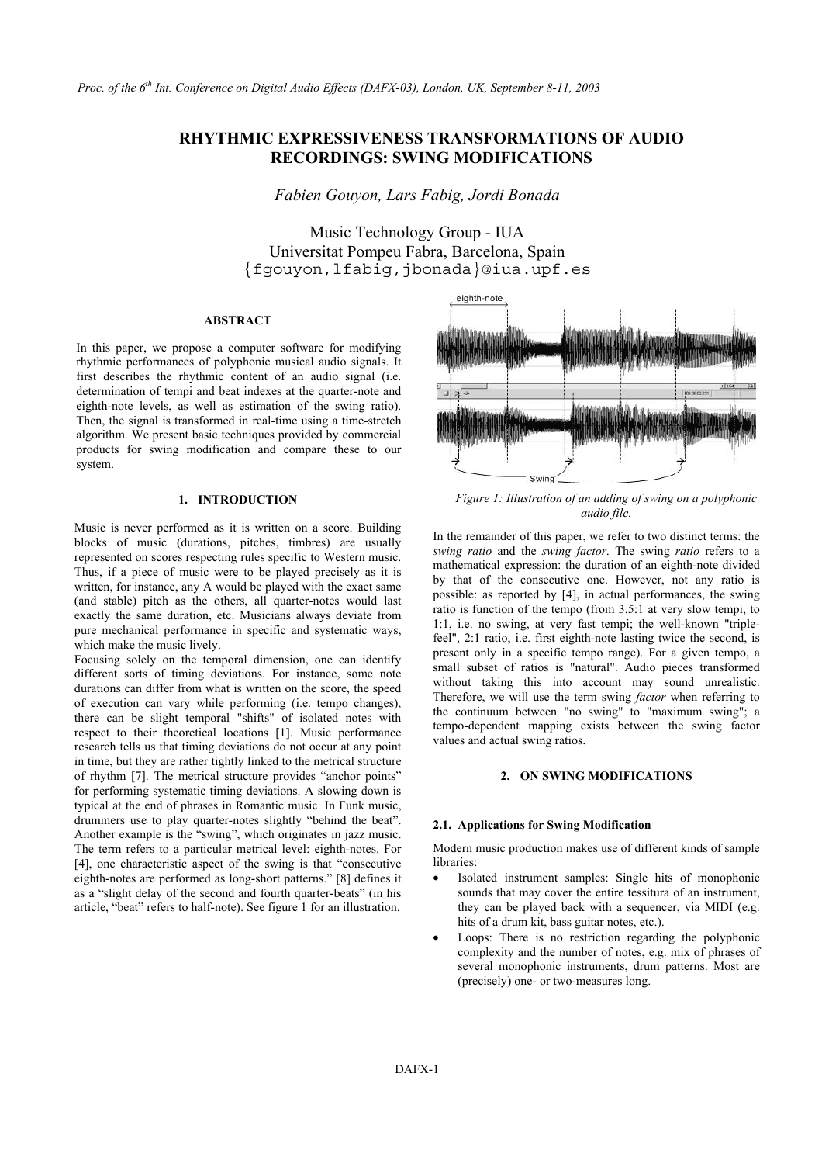# **RHYTHMIC EXPRESSIVENESS TRANSFORMATIONS OF AUDIO RECORDINGS: SWING MODIFICATIONS**

*Fabien Gouyon, Lars Fabig, Jordi Bonada* 

Music Technology Group - IUA Universitat Pompeu Fabra, Barcelona, Spain {fgouyon,lfabig,jbonada}@iua.upf.es

## **ABSTRACT**

In this paper, we propose a computer software for modifying rhythmic performances of polyphonic musical audio signals. It first describes the rhythmic content of an audio signal (i.e. determination of tempi and beat indexes at the quarter-note and eighth-note levels, as well as estimation of the swing ratio). Then, the signal is transformed in real-time using a time-stretch algorithm. We present basic techniques provided by commercial products for swing modification and compare these to our system.

## **1. INTRODUCTION**

Music is never performed as it is written on a score. Building blocks of music (durations, pitches, timbres) are usually represented on scores respecting rules specific to Western music. Thus, if a piece of music were to be played precisely as it is written, for instance, any A would be played with the exact same (and stable) pitch as the others, all quarter-notes would last exactly the same duration, etc. Musicians always deviate from pure mechanical performance in specific and systematic ways, which make the music lively.

Focusing solely on the temporal dimension, one can identify different sorts of timing deviations. For instance, some note durations can differ from what is written on the score, the speed of execution can vary while performing (i.e. tempo changes), there can be slight temporal "shifts" of isolated notes with respect to their theoretical locations [1]. Music performance research tells us that timing deviations do not occur at any point in time, but they are rather tightly linked to the metrical structure of rhythm [7]. The metrical structure provides "anchor points" for performing systematic timing deviations. A slowing down is typical at the end of phrases in Romantic music. In Funk music, drummers use to play quarter-notes slightly "behind the beat". Another example is the "swing", which originates in jazz music. The term refers to a particular metrical level: eighth-notes. For [4], one characteristic aspect of the swing is that "consecutive eighth-notes are performed as long-short patterns." [8] defines it as a "slight delay of the second and fourth quarter-beats" (in his article, "beat" refers to half-note). See figure 1 for an illustration.



*Figure 1: Illustration of an adding of swing on a polyphonic audio file.* 

In the remainder of this paper, we refer to two distinct terms: the *swing ratio* and the *swing factor*. The swing *ratio* refers to a mathematical expression: the duration of an eighth-note divided by that of the consecutive one. However, not any ratio is possible: as reported by [4], in actual performances, the swing ratio is function of the tempo (from 3.5:1 at very slow tempi, to 1:1, i.e. no swing, at very fast tempi; the well-known "triplefeel", 2:1 ratio, i.e. first eighth-note lasting twice the second, is present only in a specific tempo range). For a given tempo, a small subset of ratios is "natural". Audio pieces transformed without taking this into account may sound unrealistic. Therefore, we will use the term swing *factor* when referring to the continuum between "no swing" to "maximum swing"; a tempo-dependent mapping exists between the swing factor values and actual swing ratios.

## **2. ON SWING MODIFICATIONS**

#### **2.1. Applications for Swing Modification**

Modern music production makes use of different kinds of sample libraries:

- Isolated instrument samples: Single hits of monophonic sounds that may cover the entire tessitura of an instrument, they can be played back with a sequencer, via MIDI (e.g. hits of a drum kit, bass guitar notes, etc.).
- Loops: There is no restriction regarding the polyphonic complexity and the number of notes, e.g. mix of phrases of several monophonic instruments, drum patterns. Most are (precisely) one- or two-measures long.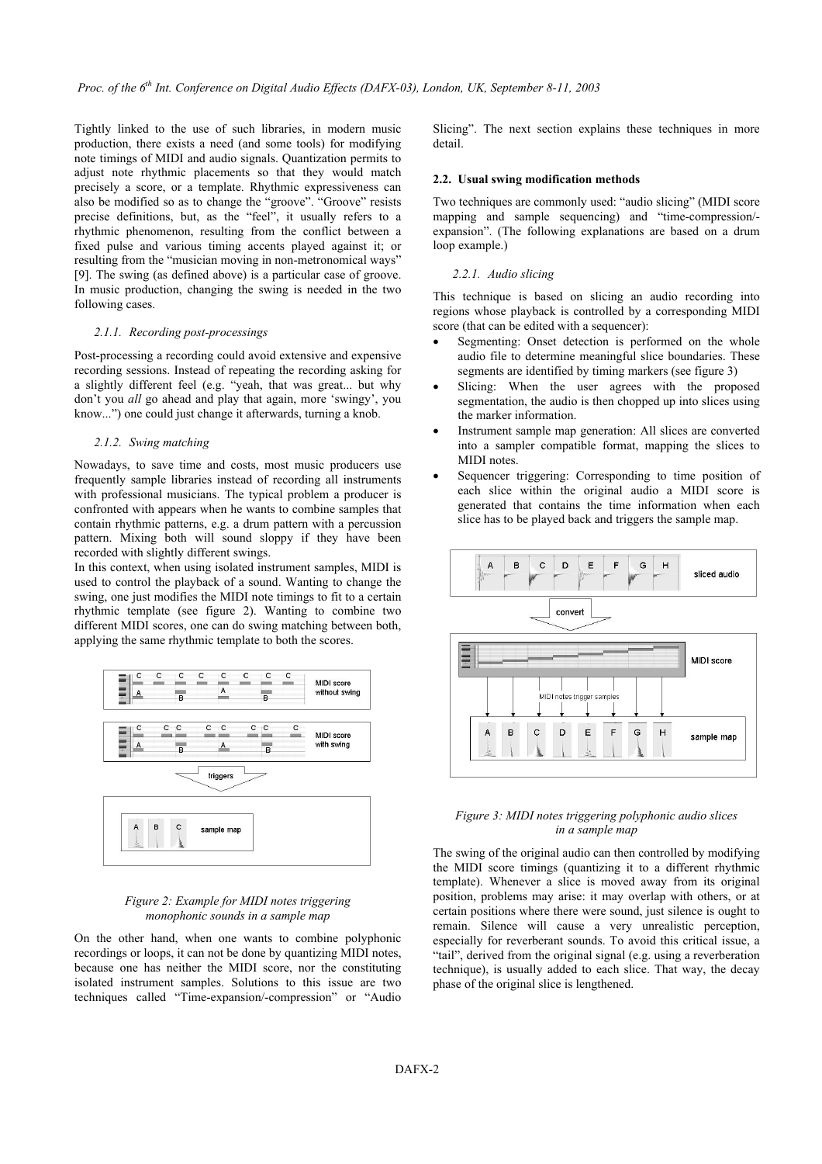Tightly linked to the use of such libraries, in modern music production, there exists a need (and some tools) for modifying note timings of MIDI and audio signals. Quantization permits to adjust note rhythmic placements so that they would match precisely a score, or a template. Rhythmic expressiveness can also be modified so as to change the "groove". "Groove" resists precise definitions, but, as the "feel", it usually refers to a rhythmic phenomenon, resulting from the conflict between a fixed pulse and various timing accents played against it; or resulting from the "musician moving in non-metronomical ways" [9]. The swing (as defined above) is a particular case of groove. In music production, changing the swing is needed in the two following cases.

#### *2.1.1. Recording post-processings*

Post-processing a recording could avoid extensive and expensive recording sessions. Instead of repeating the recording asking for a slightly different feel (e.g. "yeah, that was great... but why don't you *all* go ahead and play that again, more 'swingy', you know...") one could just change it afterwards, turning a knob.

#### *2.1.2. Swing matching*

Nowadays, to save time and costs, most music producers use frequently sample libraries instead of recording all instruments with professional musicians. The typical problem a producer is confronted with appears when he wants to combine samples that contain rhythmic patterns, e.g. a drum pattern with a percussion pattern. Mixing both will sound sloppy if they have been recorded with slightly different swings.

In this context, when using isolated instrument samples, MIDI is used to control the playback of a sound. Wanting to change the swing, one just modifies the MIDI note timings to fit to a certain rhythmic template (see figure 2). Wanting to combine two different MIDI scores, one can do swing matching between both, applying the same rhythmic template to both the scores.



## *Figure 2: Example for MIDI notes triggering monophonic sounds in a sample map*

On the other hand, when one wants to combine polyphonic recordings or loops, it can not be done by quantizing MIDI notes, because one has neither the MIDI score, nor the constituting isolated instrument samples. Solutions to this issue are two techniques called "Time-expansion/-compression" or "Audio Slicing". The next section explains these techniques in more detail.

#### **2.2. Usual swing modification methods**

Two techniques are commonly used: "audio slicing" (MIDI score mapping and sample sequencing) and "time-compression/ expansion". (The following explanations are based on a drum loop example.)

## *2.2.1. Audio slicing*

This technique is based on slicing an audio recording into regions whose playback is controlled by a corresponding MIDI score (that can be edited with a sequencer):

- Segmenting: Onset detection is performed on the whole audio file to determine meaningful slice boundaries. These segments are identified by timing markers (see figure 3)
- Slicing: When the user agrees with the proposed segmentation, the audio is then chopped up into slices using the marker information.
- Instrument sample map generation: All slices are converted into a sampler compatible format, mapping the slices to MIDI notes.
- Sequencer triggering: Corresponding to time position of each slice within the original audio a MIDI score is generated that contains the time information when each slice has to be played back and triggers the sample map.



## *Figure 3: MIDI notes triggering polyphonic audio slices in a sample map*

The swing of the original audio can then controlled by modifying the MIDI score timings (quantizing it to a different rhythmic template). Whenever a slice is moved away from its original position, problems may arise: it may overlap with others, or at certain positions where there were sound, just silence is ought to remain. Silence will cause a very unrealistic perception, especially for reverberant sounds. To avoid this critical issue, a "tail", derived from the original signal (e.g. using a reverberation technique), is usually added to each slice. That way, the decay phase of the original slice is lengthened.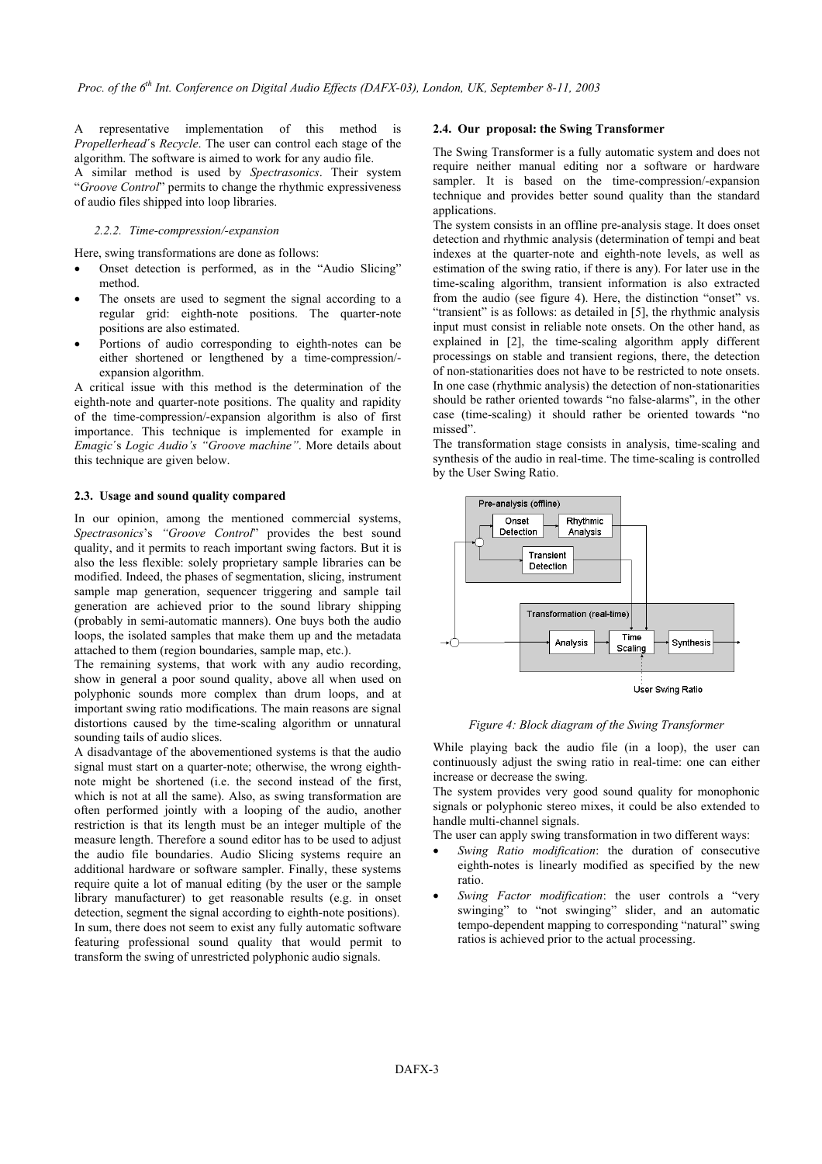A representative implementation of this method is **2.4. Our proposal: the Swing Transformer**  *Propellerhead*´s *Recycle*. The user can control each stage of the algorithm. The software is aimed to work for any audio file. The Swing Transformer is a fully automatic system and does not algorithm. The software is aimed to work for any audio file.

A similar method is used by *Spectrasonics*. Their system "*Groove Control*" permits to change the rhythmic expressiveness of audio files shipped into loop libraries.

#### *2.2.2. Time-compression/-expansion*

Here, swing transformations are done as follows:

- Onset detection is performed, as in the "Audio Slicing" method.
- The onsets are used to segment the signal according to a regular grid: eighth-note positions. The quarter-note positions are also estimated.
- Portions of audio corresponding to eighth-notes can be either shortened or lengthened by a time-compression/ expansion algorithm.

A critical issue with this method is the determination of the eighth-note and quarter-note positions. The quality and rapidity of the time-compression/-expansion algorithm is also of first importance. This technique is implemented for example in *Emagic*´s *Logic Audio's "Groove machine"*. More details about this technique are given below.

## **2.3. Usage and sound quality compared**

In our opinion, among the mentioned commercial systems, *Spectrasonics*'s *"Groove Control*" provides the best sound quality, and it permits to reach important swing factors. But it is also the less flexible: solely proprietary sample libraries can be modified. Indeed, the phases of segmentation, slicing, instrument sample map generation, sequencer triggering and sample tail generation are achieved prior to the sound library shipping (probably in semi-automatic manners). One buys both the audio loops, the isolated samples that make them up and the metadata attached to them (region boundaries, sample map, etc.).

The remaining systems, that work with any audio recording, show in general a poor sound quality, above all when used on polyphonic sounds more complex than drum loops, and at important swing ratio modifications. The main reasons are signal distortions caused by the time-scaling algorithm or unnatural sounding tails of audio slices.

A disadvantage of the abovementioned systems is that the audio signal must start on a quarter-note; otherwise, the wrong eighthnote might be shortened (i.e. the second instead of the first, which is not at all the same). Also, as swing transformation are often performed jointly with a looping of the audio, another restriction is that its length must be an integer multiple of the measure length. Therefore a sound editor has to be used to adjust the audio file boundaries. Audio Slicing systems require an additional hardware or software sampler. Finally, these systems require quite a lot of manual editing (by the user or the sample library manufacturer) to get reasonable results (e.g. in onset detection, segment the signal according to eighth-note positions). In sum, there does not seem to exist any fully automatic software featuring professional sound quality that would permit to transform the swing of unrestricted polyphonic audio signals.

require neither manual editing nor a software or hardware sampler. It is based on the time-compression/-expansion technique and provides better sound quality than the standard applications.

The system consists in an offline pre-analysis stage. It does onset detection and rhythmic analysis (determination of tempi and beat indexes at the quarter-note and eighth-note levels, as well as estimation of the swing ratio, if there is any). For later use in the time-scaling algorithm, transient information is also extracted from the audio (see figure 4). Here, the distinction "onset" vs. "transient" is as follows: as detailed in [5], the rhythmic analysis input must consist in reliable note onsets. On the other hand, as explained in [2], the time-scaling algorithm apply different processings on stable and transient regions, there, the detection of non-stationarities does not have to be restricted to note onsets. In one case (rhythmic analysis) the detection of non-stationarities should be rather oriented towards "no false-alarms", in the other case (time-scaling) it should rather be oriented towards "no missed".

The transformation stage consists in analysis, time-scaling and synthesis of the audio in real-time. The time-scaling is controlled by the User Swing Ratio.



#### *Figure 4: Block diagram of the Swing Transformer*

While playing back the audio file (in a loop), the user can continuously adjust the swing ratio in real-time: one can either increase or decrease the swing.

The system provides very good sound quality for monophonic signals or polyphonic stereo mixes, it could be also extended to handle multi-channel signals.

The user can apply swing transformation in two different ways:

- *Swing Ratio modification*: the duration of consecutive eighth-notes is linearly modified as specified by the new ratio.
- *Swing Factor modification*: the user controls a "very swinging" to "not swinging" slider, and an automatic tempo-dependent mapping to corresponding "natural" swing ratios is achieved prior to the actual processing.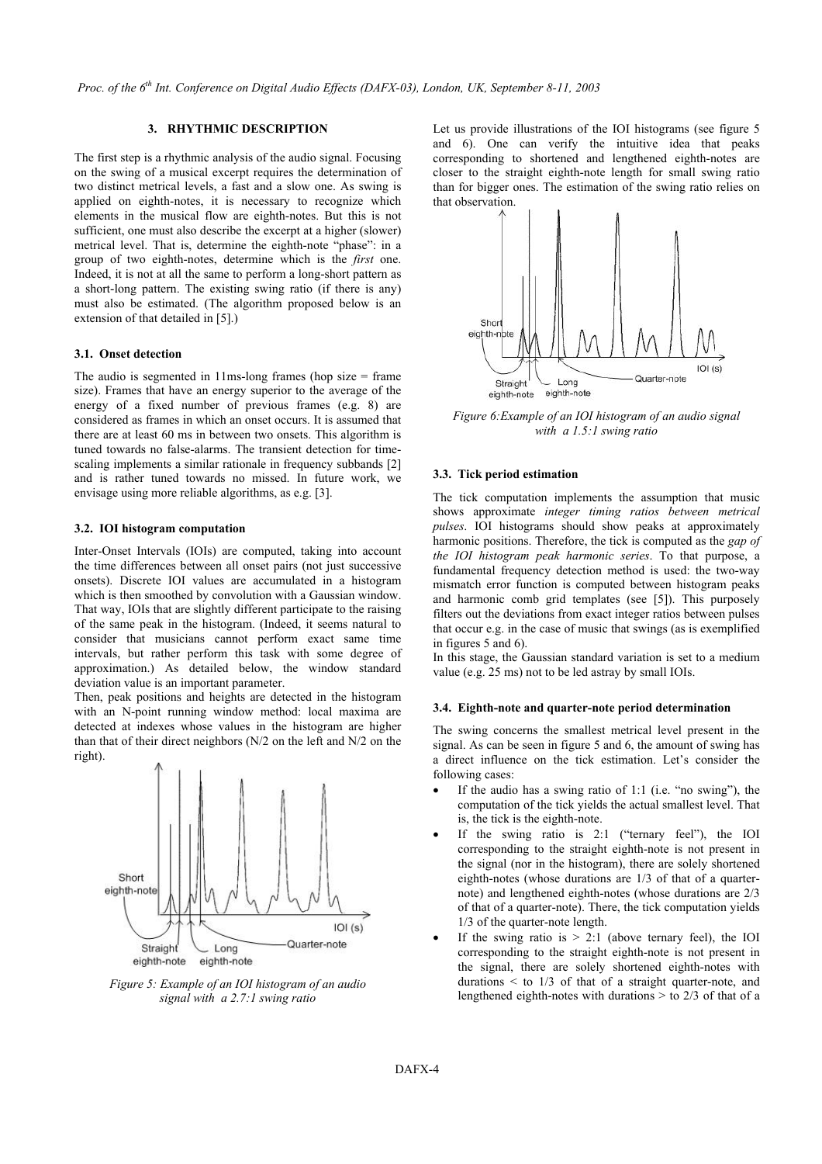## **3. RHYTHMIC DESCRIPTION**

The first step is a rhythmic analysis of the audio signal. Focusing on the swing of a musical excerpt requires the determination of two distinct metrical levels, a fast and a slow one. As swing is applied on eighth-notes, it is necessary to recognize which elements in the musical flow are eighth-notes. But this is not sufficient, one must also describe the excerpt at a higher (slower) metrical level. That is, determine the eighth-note "phase": in a group of two eighth-notes, determine which is the *first* one. Indeed, it is not at all the same to perform a long-short pattern as a short-long pattern. The existing swing ratio (if there is any) must also be estimated. (The algorithm proposed below is an extension of that detailed in [5].)

### **3.1. Onset detection**

The audio is segmented in 11ms-long frames (hop size  $=$  frame size). Frames that have an energy superior to the average of the energy of a fixed number of previous frames (e.g. 8) are considered as frames in which an onset occurs. It is assumed that there are at least 60 ms in between two onsets. This algorithm is tuned towards no false-alarms. The transient detection for timescaling implements a similar rationale in frequency subbands [2] and is rather tuned towards no missed. In future work, we envisage using more reliable algorithms, as e.g. [3].

#### **3.2. IOI histogram computation**

Inter-Onset Intervals (IOIs) are computed, taking into account the time differences between all onset pairs (not just successive onsets). Discrete IOI values are accumulated in a histogram which is then smoothed by convolution with a Gaussian window. That way, IOIs that are slightly different participate to the raising of the same peak in the histogram. (Indeed, it seems natural to consider that musicians cannot perform exact same time intervals, but rather perform this task with some degree of approximation.) As detailed below, the window standard deviation value is an important parameter.

Then, peak positions and heights are detected in the histogram with an N-point running window method: local maxima are detected at indexes whose values in the histogram are higher than that of their direct neighbors (N/2 on the left and N/2 on the right).



*signal with a 2.7:1 swing ratio* 

Let us provide illustrations of the IOI histograms (see figure 5 and 6). One can verify the intuitive idea that peaks corresponding to shortened and lengthened eighth-notes are closer to the straight eighth-note length for small swing ratio than for bigger ones. The estimation of the swing ratio relies on that observation.



*Figure 6:Example of an IOI histogram of an audio signal with a 1.5:1 swing ratio* 

## **3.3. Tick period estimation**

The tick computation implements the assumption that music shows approximate *integer timing ratios between metrical pulses*. IOI histograms should show peaks at approximately harmonic positions. Therefore, the tick is computed as the *gap of the IOI histogram peak harmonic series*. To that purpose, a fundamental frequency detection method is used: the two-way mismatch error function is computed between histogram peaks and harmonic comb grid templates (see [5]). This purposely filters out the deviations from exact integer ratios between pulses that occur e.g. in the case of music that swings (as is exemplified in figures 5 and 6).

In this stage, the Gaussian standard variation is set to a medium value (e.g. 25 ms) not to be led astray by small IOIs.

#### **3.4. Eighth-note and quarter-note period determination**

The swing concerns the smallest metrical level present in the signal. As can be seen in figure 5 and 6, the amount of swing has a direct influence on the tick estimation. Let's consider the following cases:

- If the audio has a swing ratio of  $1:1$  (i.e. "no swing"), the computation of the tick yields the actual smallest level. That is, the tick is the eighth-note.
- If the swing ratio is  $2:1$  ("ternary feel"), the IOI corresponding to the straight eighth-note is not present in the signal (nor in the histogram), there are solely shortened eighth-notes (whose durations are 1/3 of that of a quarternote) and lengthened eighth-notes (whose durations are 2/3 of that of a quarter-note). There, the tick computation yields 1/3 of the quarter-note length.
- If the swing ratio is  $> 2.1$  (above ternary feel), the IOI corresponding to the straight eighth-note is not present in the signal, there are solely shortened eighth-notes with durations  $\leq$  to 1/3 of that of a straight quarter-note, and lengthened eighth-notes with durations > to 2/3 of that of a *Figure 5: Example of an IOI histogram of an audio*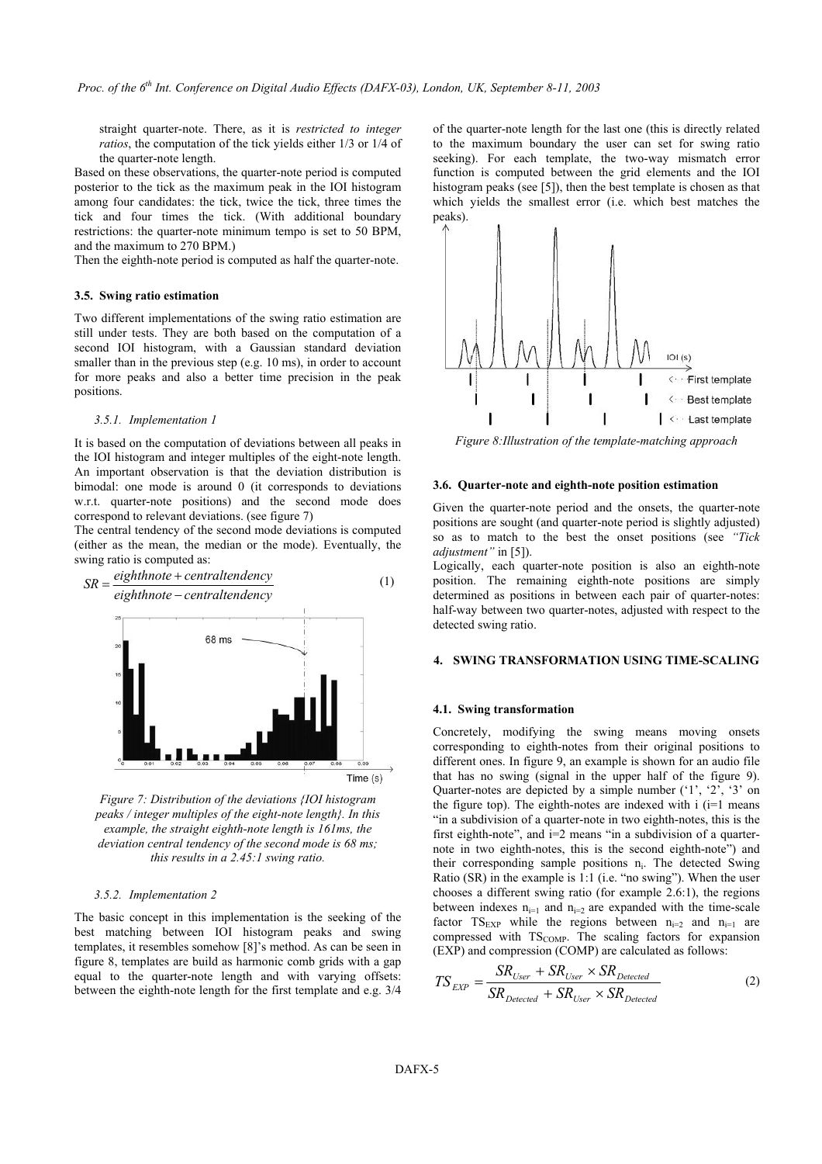straight quarter-note. There, as it is *restricted to integer ratios*, the computation of the tick yields either 1/3 or 1/4 of the quarter-note length.

Based on these observations, the quarter-note period is computed posterior to the tick as the maximum peak in the IOI histogram among four candidates: the tick, twice the tick, three times the tick and four times the tick. (With additional boundary restrictions: the quarter-note minimum tempo is set to 50 BPM, and the maximum to 270 BPM.)

Then the eighth-note period is computed as half the quarter-note.

#### **3.5. Swing ratio estimation**

Two different implementations of the swing ratio estimation are still under tests. They are both based on the computation of a second IOI histogram, with a Gaussian standard deviation smaller than in the previous step (e.g. 10 ms), in order to account for more peaks and also a better time precision in the peak positions.

#### *3.5.1. Implementation 1*

It is based on the computation of deviations between all peaks in the IOI histogram and integer multiples of the eight-note length. An important observation is that the deviation distribution is bimodal: one mode is around 0 (it corresponds to deviations w.r.t. quarter-note positions) and the second mode does correspond to relevant deviations. (see figure 7)

The central tendency of the second mode deviations is computed (either as the mean, the median or the mode). Eventually, the swing ratio is computed as:



*Figure 7: Distribution of the deviations {IOI histogram peaks / integer multiples of the eight-note length}. In this example, the straight eighth-note length is 161ms, the deviation central tendency of the second mode is 68 ms; this results in a 2.45:1 swing ratio.* 

#### *3.5.2. Implementation 2*

The basic concept in this implementation is the seeking of the best matching between IOI histogram peaks and swing templates, it resembles somehow [8]'s method. As can be seen in figure 8, templates are build as harmonic comb grids with a gap equal to the quarter-note length and with varying offsets: between the eighth-note length for the first template and e.g. 3/4 of the quarter-note length for the last one (this is directly related to the maximum boundary the user can set for swing ratio seeking). For each template, the two-way mismatch error function is computed between the grid elements and the IOI histogram peaks (see [5]), then the best template is chosen as that which yields the smallest error (i.e. which best matches the peaks).



*Figure 8:Illustration of the template-matching approach* 

#### **3.6. Quarter-note and eighth-note position estimation**

Given the quarter-note period and the onsets, the quarter-note positions are sought (and quarter-note period is slightly adjusted) so as to match to the best the onset positions (see *"Tick adjustment"* in [5]).

Logically, each quarter-note position is also an eighth-note position. The remaining eighth-note positions are simply determined as positions in between each pair of quarter-notes: half-way between two quarter-notes, adjusted with respect to the detected swing ratio.

#### **4. SWING TRANSFORMATION USING TIME-SCALING**

#### **4.1. Swing transformation**

Concretely, modifying the swing means moving onsets corresponding to eighth-notes from their original positions to different ones. In figure 9, an example is shown for an audio file that has no swing (signal in the upper half of the figure 9). Quarter-notes are depicted by a simple number  $(1, 2, 3)$  on the figure top). The eighth-notes are indexed with  $i$  ( $i=1$  means "in a subdivision of a quarter-note in two eighth-notes, this is the first eighth-note", and i=2 means "in a subdivision of a quarternote in two eighth-notes, this is the second eighth-note") and their corresponding sample positions  $n_i$ . The detected Swing Ratio (SR) in the example is 1:1 (i.e. "no swing"). When the user chooses a different swing ratio (for example 2.6:1), the regions between indexes  $n_{i=1}$  and  $n_{i=2}$  are expanded with the time-scale factor  $TS_{EXP}$  while the regions between  $n_{i=2}$  and  $n_{i=1}$  are compressed with TS<sub>COMP</sub>. The scaling factors for expansion (EXP) and compression (COMP) are calculated as follows:

$$
TS_{EXP} = \frac{SR_{User} + SR_{User} \times SR_{Detected}}{SR_{Detected} + SR_{User} \times SR_{Detected}}
$$
(2)